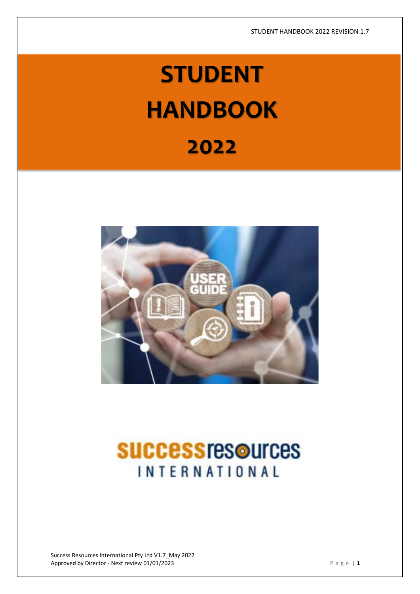# **STUDENT HANDBOOK**

# **2022**



# **SUCCESS resources INTERNATIONAL**

Success Resources International Pty Ltd V1.7\_May 2022 Approved by Director - Next review 01/01/2023 **P** a g e | 1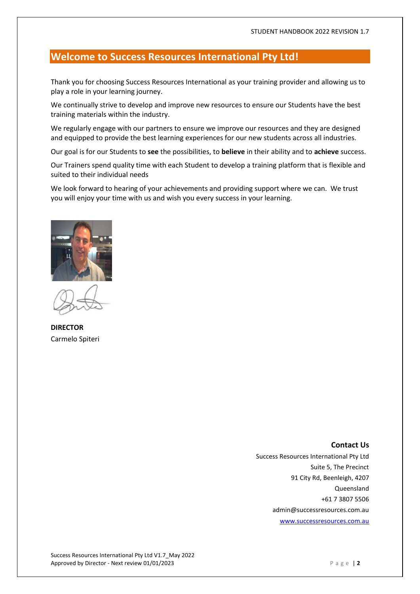# **Welcome to Success Resources International Pty Ltd!**

Thank you for choosing Success Resources International as your training provider and allowing us to play a role in your learning journey.

We continually strive to develop and improve new resources to ensure our Students have the best training materials within the industry.

We regularly engage with our partners to ensure we improve our resources and they are designed and equipped to provide the best learning experiences for our new students across all industries.

Our goal is for our Students to **see** the possibilities, to **believe** in their ability and to **achieve** success.

Our Trainers spend quality time with each Student to develop a training platform that is flexible and suited to their individual needs

We look forward to hearing of your achievements and providing support where we can. We trust you will enjoy your time with us and wish you every success in your learning.



**DIRECTOR** Carmelo Spiteri

### **Contact Us**

Success Resources International Pty Ltd Suite 5, The Precinct 91 City Rd, Beenleigh, 4207 Queensland +61 7 3807 5506 admin@successresources.com.au [www.successresources.com.au](http://www.successresources.com.au/)

Success Resources International Pty Ltd V1.7\_May 2022 Approved by Director - Next review 01/01/2023 **Passed by Director - Next review 01/01/2023** P a g e | **2**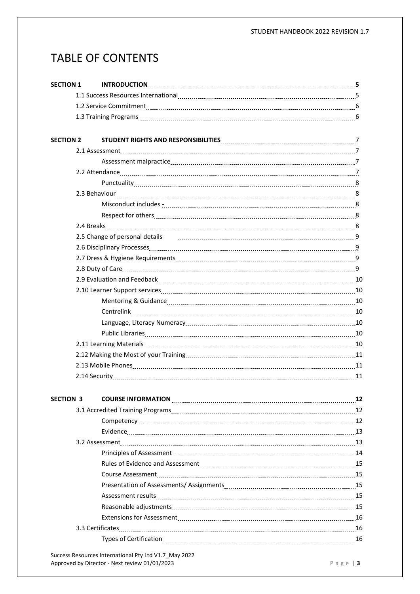# TABLE OF CONTENTS

| <b>SECTION 2</b><br>2.5 Change of personal details<br>2.5 Change of personal details<br>2.5 Change of personal details<br>2.9 Change of personal details<br>2.9 Change of personal details and the setting of the setting of the setting of the setting of<br><b>SECTION 3</b> | <b>SECTION 1</b> |  |
|--------------------------------------------------------------------------------------------------------------------------------------------------------------------------------------------------------------------------------------------------------------------------------|------------------|--|
|                                                                                                                                                                                                                                                                                |                  |  |
|                                                                                                                                                                                                                                                                                |                  |  |
|                                                                                                                                                                                                                                                                                |                  |  |
|                                                                                                                                                                                                                                                                                |                  |  |
|                                                                                                                                                                                                                                                                                |                  |  |
|                                                                                                                                                                                                                                                                                |                  |  |
|                                                                                                                                                                                                                                                                                |                  |  |
|                                                                                                                                                                                                                                                                                |                  |  |
|                                                                                                                                                                                                                                                                                |                  |  |
|                                                                                                                                                                                                                                                                                |                  |  |
|                                                                                                                                                                                                                                                                                |                  |  |
|                                                                                                                                                                                                                                                                                |                  |  |
|                                                                                                                                                                                                                                                                                |                  |  |
|                                                                                                                                                                                                                                                                                |                  |  |
|                                                                                                                                                                                                                                                                                |                  |  |
|                                                                                                                                                                                                                                                                                |                  |  |
|                                                                                                                                                                                                                                                                                |                  |  |
|                                                                                                                                                                                                                                                                                |                  |  |
|                                                                                                                                                                                                                                                                                |                  |  |
|                                                                                                                                                                                                                                                                                |                  |  |
|                                                                                                                                                                                                                                                                                |                  |  |
|                                                                                                                                                                                                                                                                                |                  |  |
|                                                                                                                                                                                                                                                                                |                  |  |
|                                                                                                                                                                                                                                                                                |                  |  |
|                                                                                                                                                                                                                                                                                |                  |  |
|                                                                                                                                                                                                                                                                                |                  |  |
|                                                                                                                                                                                                                                                                                |                  |  |
|                                                                                                                                                                                                                                                                                |                  |  |
|                                                                                                                                                                                                                                                                                |                  |  |
|                                                                                                                                                                                                                                                                                |                  |  |
|                                                                                                                                                                                                                                                                                |                  |  |
|                                                                                                                                                                                                                                                                                |                  |  |
|                                                                                                                                                                                                                                                                                |                  |  |
|                                                                                                                                                                                                                                                                                |                  |  |
|                                                                                                                                                                                                                                                                                |                  |  |
|                                                                                                                                                                                                                                                                                |                  |  |
|                                                                                                                                                                                                                                                                                |                  |  |
|                                                                                                                                                                                                                                                                                |                  |  |
|                                                                                                                                                                                                                                                                                |                  |  |
|                                                                                                                                                                                                                                                                                |                  |  |
|                                                                                                                                                                                                                                                                                |                  |  |
|                                                                                                                                                                                                                                                                                |                  |  |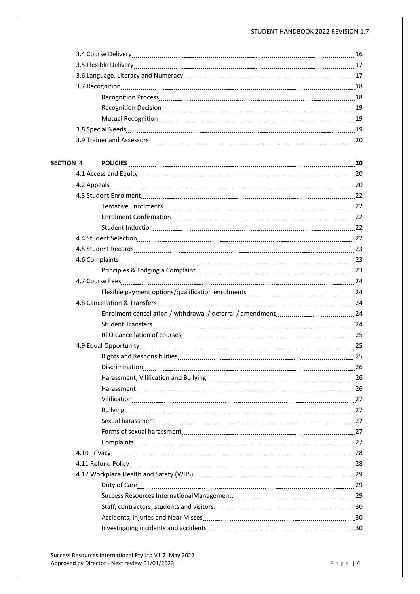#### STUDENT HANDBOOK 2022 REVISION 1.7

| SECTION 4 |                                                                                                                      |  |
|-----------|----------------------------------------------------------------------------------------------------------------------|--|
|           |                                                                                                                      |  |
|           |                                                                                                                      |  |
|           |                                                                                                                      |  |
|           |                                                                                                                      |  |
|           |                                                                                                                      |  |
|           |                                                                                                                      |  |
|           |                                                                                                                      |  |
|           | 4.5 Student Records [11, 23] 23 March 23 (23) 23 March 23 (24) 24 March 24 (24) 24 March 25 (24) 24 March 25 (24) 25 |  |
|           |                                                                                                                      |  |
|           |                                                                                                                      |  |
|           |                                                                                                                      |  |
|           |                                                                                                                      |  |
|           |                                                                                                                      |  |
|           |                                                                                                                      |  |
|           |                                                                                                                      |  |
|           |                                                                                                                      |  |
|           |                                                                                                                      |  |
|           |                                                                                                                      |  |
|           |                                                                                                                      |  |
|           |                                                                                                                      |  |
|           |                                                                                                                      |  |
|           |                                                                                                                      |  |
|           | Bullying 27                                                                                                          |  |
|           |                                                                                                                      |  |
|           |                                                                                                                      |  |
|           |                                                                                                                      |  |
|           |                                                                                                                      |  |
|           | 4.11 Refund Policy 28                                                                                                |  |
|           |                                                                                                                      |  |
|           |                                                                                                                      |  |
|           |                                                                                                                      |  |
|           |                                                                                                                      |  |
|           |                                                                                                                      |  |
|           |                                                                                                                      |  |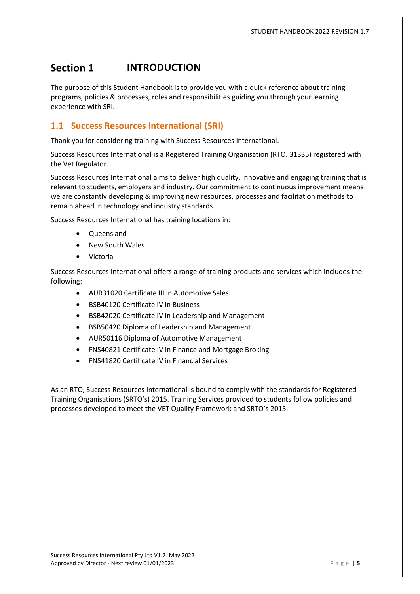#### Section 1 **INTRODUCTION**

The purpose of this Student Handbook is to provide you with a quick reference about training programs, policies & processes, roles and responsibilities guiding you through your learning experience with SRI.

# **1.1 Success Resources International (SRI)**

Thank you for considering training with Success Resources International.

Success Resources International is a Registered Training Organisation (RTO. 31335) registered with the Vet Regulator.

Success Resources International aims to deliver high quality, innovative and engaging training that is relevant to students, employers and industry. Our commitment to continuous improvement means we are constantly developing & improving new resources, processes and facilitation methods to remain ahead in technology and industry standards.

Success Resources International has training locations in:

- Queensland
- New South Wales
- Victoria

Success Resources International offers a range of training products and services which includes the following:

- AUR31020 Certificate III in Automotive Sales
- BSB40120 Certificate IV in Business
- BSB42020 Certificate IV in Leadership and Management
- BSB50420 Diploma of Leadership and Management
- AUR50116 Diploma of Automotive Management
- FNS40821 Certificate IV in Finance and Mortgage Broking
- FNS41820 Certificate IV in Financial Services

As an RTO, Success Resources International is bound to comply with the standards for Registered Training Organisations (SRTO's) 2015. Training Services provided to students follow policies and processes developed to meet the VET Quality Framework and SRTO's 2015.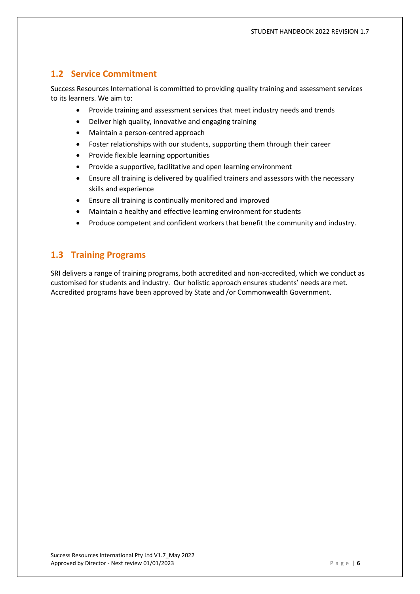# **1.2 Service Commitment**

Success Resources International is committed to providing quality training and assessment services to its learners. We aim to:

- Provide training and assessment services that meet industry needs and trends
- Deliver high quality, innovative and engaging training
- Maintain a person-centred approach
- Foster relationships with our students, supporting them through their career
- Provide flexible learning opportunities
- Provide a supportive, facilitative and open learning environment
- Ensure all training is delivered by qualified trainers and assessors with the necessary skills and experience
- Ensure all training is continually monitored and improved
- Maintain a healthy and effective learning environment for students
- Produce competent and confident workers that benefit the community and industry.

# **1.3 Training Programs**

SRI delivers a range of training programs, both accredited and non-accredited, which we conduct as customised for students and industry. Our holistic approach ensures students' needs are met. Accredited programs have been approved by State and /or Commonwealth Government.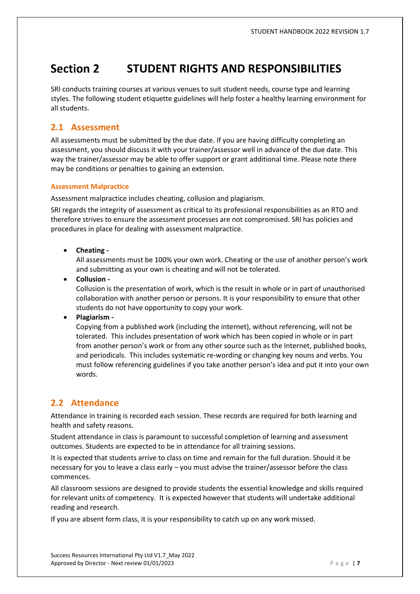#### Section 2 **STUDENT RIGHTS AND RESPONSIBILITIES**

SRI conducts training courses at various venues to suit student needs, course type and learning styles. The following student etiquette guidelines will help foster a healthy learning environment for all students.

# **2.1 Assessment**

All assessments must be submitted by the due date. If you are having difficulty completing an assessment, you should discuss it with your trainer/assessor well in advance of the due date. This way the trainer/assessor may be able to offer support or grant additional time. Please note there may be conditions or penalties to gaining an extension.

#### **Assessment Malpractice**

Assessment malpractice includes cheating, collusion and plagiarism.

SRI regards the integrity of assessment as critical to its professional responsibilities as an RTO and therefore strives to ensure the assessment processes are not compromised. SRI has policies and procedures in place for dealing with assessment malpractice.

• **Cheating -**

All assessments must be 100% your own work. Cheating or the use of another person's work and submitting as your own is cheating and will not be tolerated.

• **Collusion -**

Collusion is the presentation of work, which is the result in whole or in part of unauthorised collaboration with another person or persons. It is your responsibility to ensure that other students do not have opportunity to copy your work.

• **Plagiarism -**

Copying from a published work (including the internet), without referencing, will not be tolerated. This includes presentation of work which has been copied in whole or in part from another person's work or from any other source such as the Internet, published books, and periodicals. This includes systematic re-wording or changing key nouns and verbs. You must follow referencing guidelines if you take another person's idea and put it into your own words.

# **2.2 Attendance**

Attendance in training is recorded each session. These records are required for both learning and health and safety reasons.

Student attendance in class is paramount to successful completion of learning and assessment outcomes. Students are expected to be in attendance for all training sessions.

It is expected that students arrive to class on time and remain for the full duration. Should it be necessary for you to leave a class early – you must advise the trainer/assessor before the class commences.

All classroom sessions are designed to provide students the essential knowledge and skills required for relevant units of competency. It is expected however that students will undertake additional reading and research.

If you are absent form class, it is your responsibility to catch up on any work missed.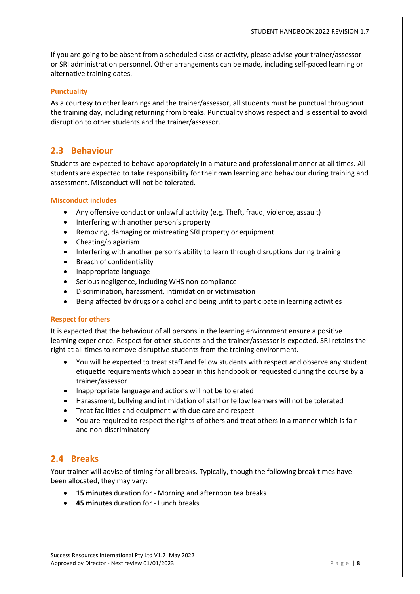If you are going to be absent from a scheduled class or activity, please advise your trainer/assessor or SRI administration personnel. Other arrangements can be made, including self-paced learning or alternative training dates.

#### **Punctuality**

As a courtesy to other learnings and the trainer/assessor, all students must be punctual throughout the training day, including returning from breaks. Punctuality shows respect and is essential to avoid disruption to other students and the trainer/assessor.

# **2.3 Behaviour**

Students are expected to behave appropriately in a mature and professional manner at all times. All students are expected to take responsibility for their own learning and behaviour during training and assessment. Misconduct will not be tolerated.

#### **Misconduct includes**

- Any offensive conduct or unlawful activity (e.g. Theft, fraud, violence, assault)
- Interfering with another person's property
- Removing, damaging or mistreating SRI property or equipment
- Cheating/plagiarism
- Interfering with another person's ability to learn through disruptions during training
- Breach of confidentiality
- Inappropriate language
- Serious negligence, including WHS non-compliance
- Discrimination, harassment, intimidation or victimisation
- Being affected by drugs or alcohol and being unfit to participate in learning activities

#### **Respect for others**

It is expected that the behaviour of all persons in the learning environment ensure a positive learning experience. Respect for other students and the trainer/assessor is expected. SRI retains the right at all times to remove disruptive students from the training environment.

- You will be expected to treat staff and fellow students with respect and observe any student etiquette requirements which appear in this handbook or requested during the course by a trainer/assessor
- Inappropriate language and actions will not be tolerated
- Harassment, bullying and intimidation of staff or fellow learners will not be tolerated
- Treat facilities and equipment with due care and respect
- You are required to respect the rights of others and treat others in a manner which is fair and non-discriminatory

# **2.4 Breaks**

Your trainer will advise of timing for all breaks. Typically, though the following break times have been allocated, they may vary:

- **15 minutes** duration for Morning and afternoon tea breaks
- **45 minutes** duration for Lunch breaks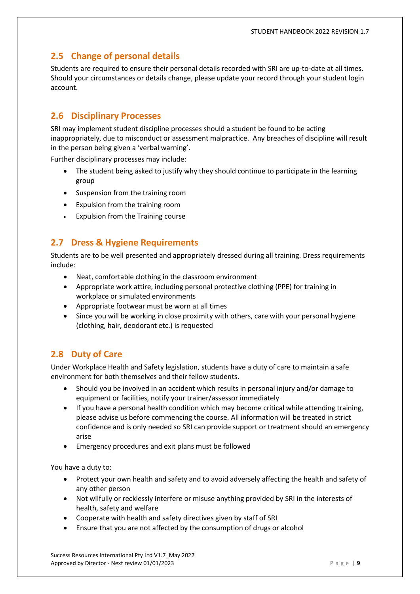# **2.5 Change of personal details**

Students are required to ensure their personal details recorded with SRI are up-to-date at all times. Should your circumstances or details change, please update your record through your student login account.

# **2.6 Disciplinary Processes**

SRI may implement student discipline processes should a student be found to be acting inappropriately, due to misconduct or assessment malpractice. Any breaches of discipline will result in the person being given a 'verbal warning'.

Further disciplinary processes may include:

- The student being asked to justify why they should continue to participate in the learning group
- Suspension from the training room
- Expulsion from the training room
- Expulsion from the Training course

# **2.7 Dress & Hygiene Requirements**

Students are to be well presented and appropriately dressed during all training. Dress requirements include:

- Neat, comfortable clothing in the classroom environment
- Appropriate work attire, including personal protective clothing (PPE) for training in workplace or simulated environments
- Appropriate footwear must be worn at all times
- Since you will be working in close proximity with others, care with your personal hygiene (clothing, hair, deodorant etc.) is requested

# **2.8 Duty of Care**

Under Workplace Health and Safety legislation, students have a duty of care to maintain a safe environment for both themselves and their fellow students.

- Should you be involved in an accident which results in personal injury and/or damage to equipment or facilities, notify your trainer/assessor immediately
- If you have a personal health condition which may become critical while attending training, please advise us before commencing the course. All information will be treated in strict confidence and is only needed so SRI can provide support or treatment should an emergency arise
- Emergency procedures and exit plans must be followed

You have a duty to:

- Protect your own health and safety and to avoid adversely affecting the health and safety of any other person
- Not wilfully or recklessly interfere or misuse anything provided by SRI in the interests of health, safety and welfare
- Cooperate with health and safety directives given by staff of SRI
- Ensure that you are not affected by the consumption of drugs or alcohol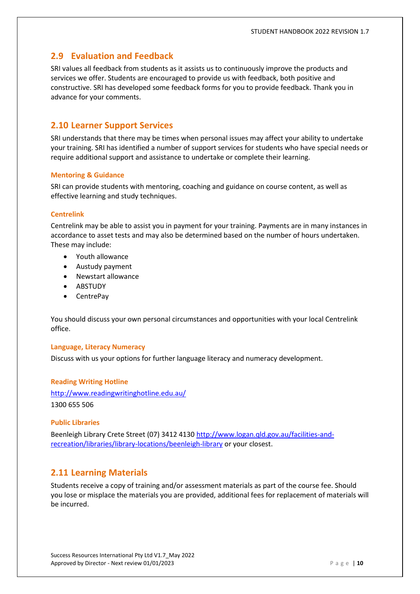# **2.9 Evaluation and Feedback**

SRI values all feedback from students as it assists us to continuously improve the products and services we offer. Students are encouraged to provide us with feedback, both positive and constructive. SRI has developed some feedback forms for you to provide feedback. Thank you in advance for your comments.

# **2.10 Learner Support Services**

SRI understands that there may be times when personal issues may affect your ability to undertake your training. SRI has identified a number of support services for students who have special needs or require additional support and assistance to undertake or complete their learning.

#### **Mentoring & Guidance**

SRI can provide students with mentoring, coaching and guidance on course content, as well as effective learning and study techniques.

#### **Centrelink**

Centrelink may be able to assist you in payment for your training. Payments are in many instances in accordance to asset tests and may also be determined based on the number of hours undertaken. These may include:

- Youth allowance
- Austudy payment
- Newstart allowance
- ABSTUDY
- CentrePay

You should discuss your own personal circumstances and opportunities with your local Centrelink office.

#### **Language, Literacy Numeracy**

Discuss with us your options for further language literacy and numeracy development.

**Reading Writing Hotline** <http://www.readingwritinghotline.edu.au/> 1300 655 506

#### **Public Libraries**

Beenleigh Library Crete Street (07) 3412 4130 [http://www.logan.qld.gov.au/facilities-and](http://www.logan.qld.gov.au/facilities-and-recreation/libraries/library-locations/beenleigh-library)[recreation/libraries/library-locations/beenleigh-library](http://www.logan.qld.gov.au/facilities-and-recreation/libraries/library-locations/beenleigh-library) or your closest.

# **2.11 Learning Materials**

Students receive a copy of training and/or assessment materials as part of the course fee. Should you lose or misplace the materials you are provided, additional fees for replacement of materials will be incurred.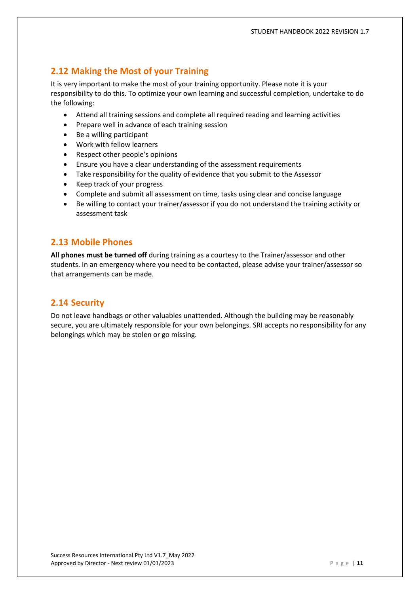# **2.12 Making the Most of your Training**

It is very important to make the most of your training opportunity. Please note it is your responsibility to do this. To optimize your own learning and successful completion, undertake to do the following:

- Attend all training sessions and complete all required reading and learning activities
- Prepare well in advance of each training session
- Be a willing participant
- Work with fellow learners
- Respect other people's opinions
- Ensure you have a clear understanding of the assessment requirements
- Take responsibility for the quality of evidence that you submit to the Assessor
- Keep track of your progress
- Complete and submit all assessment on time, tasks using clear and concise language
- Be willing to contact your trainer/assessor if you do not understand the training activity or assessment task

# **2.13 Mobile Phones**

**All phones must be turned off** during training as a courtesy to the Trainer/assessor and other students. In an emergency where you need to be contacted, please advise your trainer/assessor so that arrangements can be made.

# **2.14 Security**

Do not leave handbags or other valuables unattended. Although the building may be reasonably secure, you are ultimately responsible for your own belongings. SRI accepts no responsibility for any belongings which may be stolen or go missing.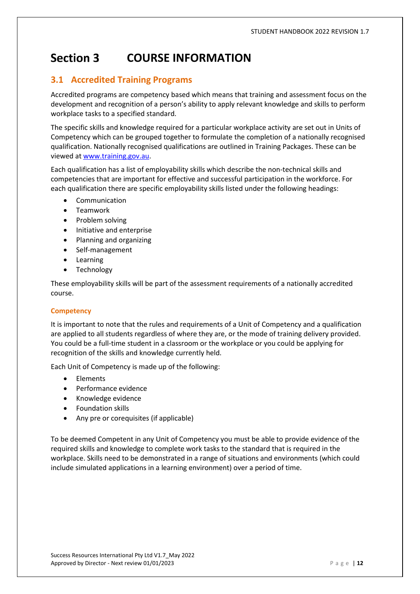#### **Section 3 COURSE INFORMATION**

# **3.1 Accredited Training Programs**

Accredited programs are competency based which means that training and assessment focus on the development and recognition of a person's ability to apply relevant knowledge and skills to perform workplace tasks to a specified standard.

The specific skills and knowledge required for a particular workplace activity are set out in Units of Competency which can be grouped together to formulate the completion of a nationally recognised qualification. Nationally recognised qualifications are outlined in Training Packages. These can be viewed at [www.training.gov.au.](http://www.training.gov.au/)

Each qualification has a list of employability skills which describe the non-technical skills and competencies that are important for effective and successful participation in the workforce. For each qualification there are specific employability skills listed under the following headings:

- **Communication**
- Teamwork
- Problem solving
- Initiative and enterprise
- Planning and organizing
- Self-management
- Learning
- Technology

These employability skills will be part of the assessment requirements of a nationally accredited course.

#### **Competency**

It is important to note that the rules and requirements of a Unit of Competency and a qualification are applied to all students regardless of where they are, or the mode of training delivery provided. You could be a full-time student in a classroom or the workplace or you could be applying for recognition of the skills and knowledge currently held.

Each Unit of Competency is made up of the following:

- Elements
- Performance evidence
- Knowledge evidence
- Foundation skills
- Any pre or corequisites (if applicable)

To be deemed Competent in any Unit of Competency you must be able to provide evidence of the required skills and knowledge to complete work tasks to the standard that is required in the workplace. Skills need to be demonstrated in a range of situations and environments (which could include simulated applications in a learning environment) over a period of time.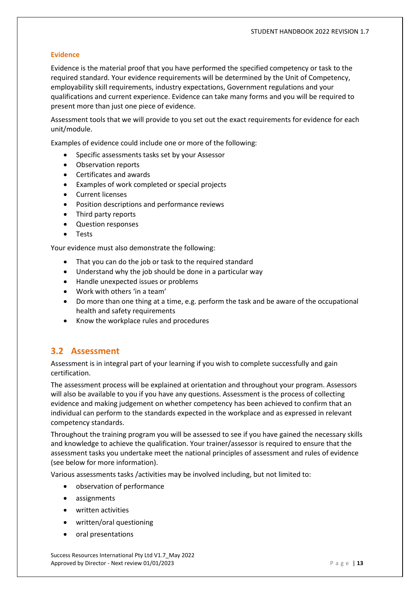#### **Evidence**

Evidence is the material proof that you have performed the specified competency or task to the required standard. Your evidence requirements will be determined by the Unit of Competency, employability skill requirements, industry expectations, Government regulations and your qualifications and current experience. Evidence can take many forms and you will be required to present more than just one piece of evidence.

Assessment tools that we will provide to you set out the exact requirements for evidence for each unit/module.

Examples of evidence could include one or more of the following:

- Specific assessments tasks set by your Assessor
- Observation reports
- Certificates and awards
- Examples of work completed or special projects
- Current licenses
- Position descriptions and performance reviews
- Third party reports
- Question responses
- Tests

Your evidence must also demonstrate the following:

- That you can do the job or task to the required standard
- Understand why the job should be done in a particular way
- Handle unexpected issues or problems
- Work with others 'in a team'
- Do more than one thing at a time, e.g. perform the task and be aware of the occupational health and safety requirements
- Know the workplace rules and procedures

# **3.2 Assessment**

Assessment is in integral part of your learning if you wish to complete successfully and gain certification.

The assessment process will be explained at orientation and throughout your program. Assessors will also be available to you if you have any questions. Assessment is the process of collecting evidence and making judgement on whether competency has been achieved to confirm that an individual can perform to the standards expected in the workplace and as expressed in relevant competency standards.

Throughout the training program you will be assessed to see if you have gained the necessary skills and knowledge to achieve the qualification. Your trainer/assessor is required to ensure that the assessment tasks you undertake meet the national principles of assessment and rules of evidence (see below for more information).

Various assessments tasks /activities may be involved including, but not limited to:

- observation of performance
- assignments
- written activities
- written/oral questioning
- oral presentations

Success Resources International Pty Ltd V1.7\_May 2022 Approved by Director - Next review 01/01/2023 **P** a g e | 13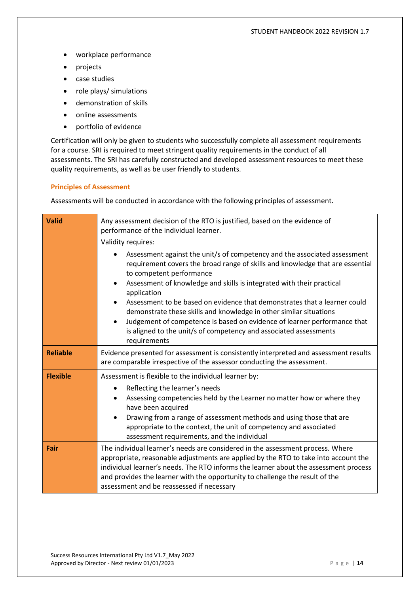- workplace performance
- projects
- case studies
- role plays/ simulations
- demonstration of skills
- online assessments
- portfolio of evidence

Certification will only be given to students who successfully complete all assessment requirements for a course. SRI is required to meet stringent quality requirements in the conduct of all assessments. The SRI has carefully constructed and developed assessment resources to meet these quality requirements, as well as be user friendly to students.

#### **Principles of Assessment**

Assessments will be conducted in accordance with the following principles of assessment.

| <b>Valid</b>    | Any assessment decision of the RTO is justified, based on the evidence of<br>performance of the individual learner.<br>Validity requires:                                                                                                                                                                                                                                                                                |  |
|-----------------|--------------------------------------------------------------------------------------------------------------------------------------------------------------------------------------------------------------------------------------------------------------------------------------------------------------------------------------------------------------------------------------------------------------------------|--|
|                 | Assessment against the unit/s of competency and the associated assessment<br>requirement covers the broad range of skills and knowledge that are essential<br>to competent performance<br>Assessment of knowledge and skills is integrated with their practical<br>$\bullet$                                                                                                                                             |  |
|                 | application<br>Assessment to be based on evidence that demonstrates that a learner could<br>demonstrate these skills and knowledge in other similar situations<br>Judgement of competence is based on evidence of learner performance that<br>$\bullet$<br>is aligned to the unit/s of competency and associated assessments<br>requirements                                                                             |  |
| <b>Reliable</b> | Evidence presented for assessment is consistently interpreted and assessment results<br>are comparable irrespective of the assessor conducting the assessment.                                                                                                                                                                                                                                                           |  |
| <b>Flexible</b> | Assessment is flexible to the individual learner by:<br>Reflecting the learner's needs<br>$\bullet$<br>Assessing competencies held by the Learner no matter how or where they<br>$\bullet$<br>have been acquired<br>Drawing from a range of assessment methods and using those that are<br>$\bullet$<br>appropriate to the context, the unit of competency and associated<br>assessment requirements, and the individual |  |
| Fair            | The individual learner's needs are considered in the assessment process. Where<br>appropriate, reasonable adjustments are applied by the RTO to take into account the<br>individual learner's needs. The RTO informs the learner about the assessment process<br>and provides the learner with the opportunity to challenge the result of the<br>assessment and be reassessed if necessary                               |  |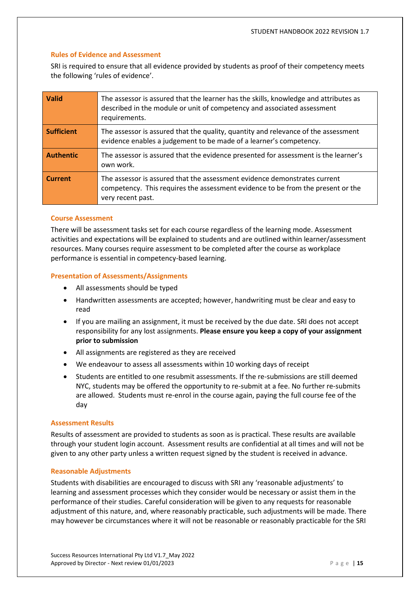#### **Rules of Evidence and Assessment**

SRI is required to ensure that all evidence provided by students as proof of their competency meets the following 'rules of evidence'.

| <b>Valid</b>      | The assessor is assured that the learner has the skills, knowledge and attributes as<br>described in the module or unit of competency and associated assessment<br>requirements.  |
|-------------------|-----------------------------------------------------------------------------------------------------------------------------------------------------------------------------------|
| <b>Sufficient</b> | The assessor is assured that the quality, quantity and relevance of the assessment<br>evidence enables a judgement to be made of a learner's competency.                          |
| <b>Authentic</b>  | The assessor is assured that the evidence presented for assessment is the learner's<br>own work.                                                                                  |
| <b>Current</b>    | The assessor is assured that the assessment evidence demonstrates current<br>competency. This requires the assessment evidence to be from the present or the<br>very recent past. |

#### **Course Assessment**

There will be assessment tasks set for each course regardless of the learning mode. Assessment activities and expectations will be explained to students and are outlined within learner/assessment resources. Many courses require assessment to be completed after the course as workplace performance is essential in competency-based learning.

#### **Presentation of Assessments/Assignments**

- All assessments should be typed
- Handwritten assessments are accepted; however, handwriting must be clear and easy to read
- If you are mailing an assignment, it must be received by the due date. SRI does not accept responsibility for any lost assignments. **Please ensure you keep a copy of your assignment prior to submission**
- All assignments are registered as they are received
- We endeavour to assess all assessments within 10 working days of receipt
- Students are entitled to one resubmit assessments. If the re-submissions are still deemed NYC, students may be offered the opportunity to re-submit at a fee. No further re-submits are allowed. Students must re-enrol in the course again, paying the full course fee of the day

#### **Assessment Results**

Results of assessment are provided to students as soon as is practical. These results are available through your student login account. Assessment results are confidential at all times and will not be given to any other party unless a written request signed by the student is received in advance.

#### **Reasonable Adjustments**

Students with disabilities are encouraged to discuss with SRI any 'reasonable adjustments' to learning and assessment processes which they consider would be necessary or assist them in the performance of their studies. Careful consideration will be given to any requests for reasonable adjustment of this nature, and, where reasonably practicable, such adjustments will be made. There may however be circumstances where it will not be reasonable or reasonably practicable for the SRI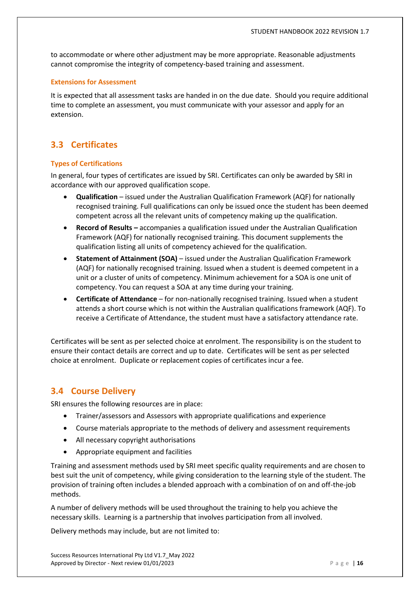to accommodate or where other adjustment may be more appropriate. Reasonable adjustments cannot compromise the integrity of competency-based training and assessment.

#### **Extensions for Assessment**

It is expected that all assessment tasks are handed in on the due date. Should you require additional time to complete an assessment, you must communicate with your assessor and apply for an extension.

# **3.3 Certificates**

#### **Types of Certifications**

In general, four types of certificates are issued by SRI. Certificates can only be awarded by SRI in accordance with our approved qualification scope.

- **Qualification** issued under the Australian Qualification Framework (AQF) for nationally recognised training. Full qualifications can only be issued once the student has been deemed competent across all the relevant units of competency making up the qualification.
- **Record of Results –** accompanies a qualification issued under the Australian Qualification Framework (AQF) for nationally recognised training. This document supplements the qualification listing all units of competency achieved for the qualification.
- **Statement of Attainment (SOA)**  issued under the Australian Qualification Framework (AQF) for nationally recognised training. Issued when a student is deemed competent in a unit or a cluster of units of competency. Minimum achievement for a SOA is one unit of competency. You can request a SOA at any time during your training.
- **Certificate of Attendance**  for non-nationally recognised training. Issued when a student attends a short course which is not within the Australian qualifications framework (AQF). To receive a Certificate of Attendance, the student must have a satisfactory attendance rate.

Certificates will be sent as per selected choice at enrolment. The responsibility is on the student to ensure their contact details are correct and up to date. Certificates will be sent as per selected choice at enrolment. Duplicate or replacement copies of certificates incur a fee.

# <span id="page-15-0"></span>**3.4 Course Delivery**

SRI ensures the following resources are in place:

- Trainer/assessors and Assessors with appropriate qualifications and experience
- Course materials appropriate to the methods of delivery and assessment requirements
- All necessary copyright authorisations
- Appropriate equipment and facilities

Training and assessment methods used by SRI meet specific quality requirements and are chosen to best suit the unit of competency, while giving consideration to the learning style of the student. The provision of training often includes a blended approach with a combination of on and off-the-job methods.

A number of delivery methods will be used throughout the training to help you achieve the necessary skills. Learning is a partnership that involves participation from all involved.

Delivery methods may include, but are not limited to: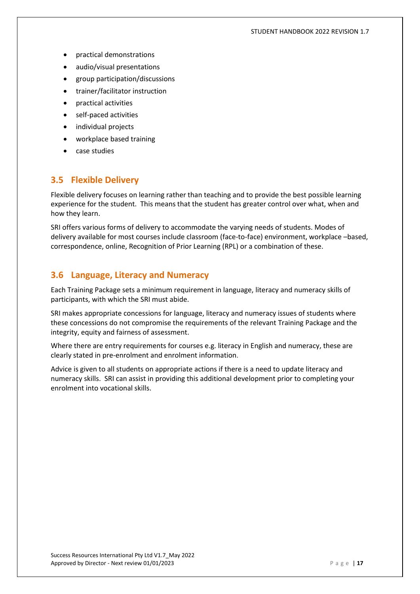#### STUDENT HANDBOOK 2022 REVISION 1.7

- practical demonstrations
- audio/visual presentations
- group participation/discussions
- trainer/facilitator instruction
- practical activities
- self-paced activities
- individual projects
- workplace based training
- case studies

# <span id="page-16-0"></span>**3.5 Flexible Delivery**

Flexible delivery focuses on learning rather than teaching and to provide the best possible learning experience for the student. This means that the student has greater control over what, when and how they learn.

SRI offers various forms of delivery to accommodate the varying needs of students. Modes of delivery available for most courses include classroom (face-to-face) environment, workplace –based, correspondence, online, Recognition of Prior Learning (RPL) or a combination of these.

# <span id="page-16-1"></span>**3.6 Language, Literacy and Numeracy**

Each Training Package sets a minimum requirement in language, literacy and numeracy skills of participants, with which the SRI must abide.

SRI makes appropriate concessions for language, literacy and numeracy issues of students where these concessions do not compromise the requirements of the relevant Training Package and the integrity, equity and fairness of assessment.

Where there are entry requirements for courses e.g. literacy in English and numeracy, these are clearly stated in pre-enrolment and enrolment information.

Advice is given to all students on appropriate actions if there is a need to update literacy and numeracy skills. SRI can assist in providing this additional development prior to completing your enrolment into vocational skills.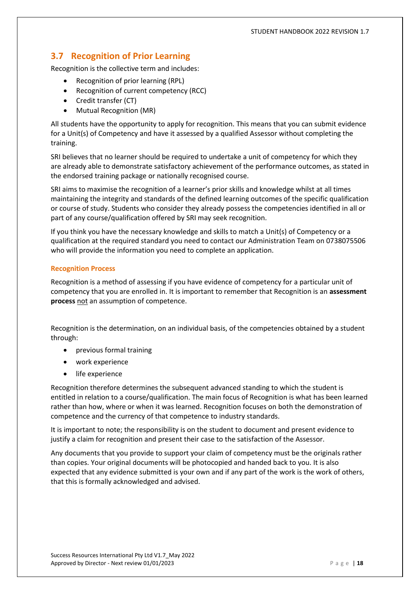# <span id="page-17-0"></span>**3.7 Recognition of Prior Learning**

Recognition is the collective term and includes:

- Recognition of prior learning (RPL)
- Recognition of current competency (RCC)
- Credit transfer (CT)
- Mutual Recognition (MR)

All students have the opportunity to apply for recognition. This means that you can submit evidence for a Unit(s) of Competency and have it assessed by a qualified Assessor without completing the training.

SRI believes that no learner should be required to undertake a unit of competency for which they are already able to demonstrate satisfactory achievement of the performance outcomes, as stated in the endorsed training package or nationally recognised course.

SRI aims to maximise the recognition of a learner's prior skills and knowledge whilst at all times maintaining the integrity and standards of the defined learning outcomes of the specific qualification or course of study. Students who consider they already possess the competencies identified in all or part of any course/qualification offered by SRI may seek recognition.

If you think you have the necessary knowledge and skills to match a Unit(s) of Competency or a qualification at the required standard you need to contact our Administration Team on 0738075506 who will provide the information you need to complete an application.

#### <span id="page-17-1"></span>**Recognition Process**

Recognition is a method of assessing if you have evidence of competency for a particular unit of competency that you are enrolled in. It is important to remember that Recognition is an **assessment process** not an assumption of competence.

Recognition is the determination, on an individual basis, of the competencies obtained by a student through:

- previous formal training
- work experience
- life experience

Recognition therefore determines the subsequent advanced standing to which the student is entitled in relation to a course/qualification. The main focus of Recognition is what has been learned rather than how, where or when it was learned. Recognition focuses on both the demonstration of competence and the currency of that competence to industry standards.

It is important to note; the responsibility is on the student to document and present evidence to justify a claim for recognition and present their case to the satisfaction of the Assessor.

Any documents that you provide to support your claim of competency must be the originals rather than copies. Your original documents will be photocopied and handed back to you. It is also expected that any evidence submitted is your own and if any part of the work is the work of others, that this is formally acknowledged and advised.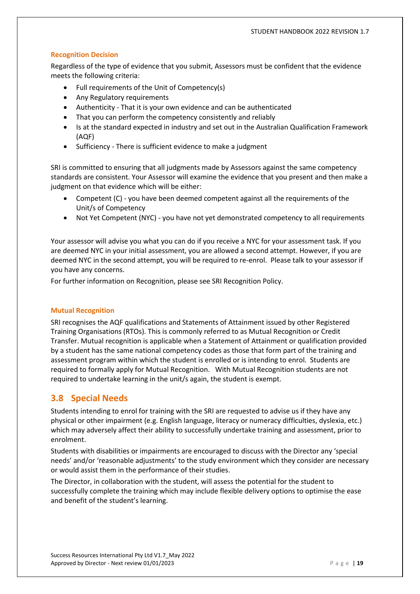#### <span id="page-18-0"></span>**Recognition Decision**

Regardless of the type of evidence that you submit, Assessors must be confident that the evidence meets the following criteria:

- Full requirements of the Unit of Competency(s)
- Any Regulatory requirements
- Authenticity That it is your own evidence and can be authenticated
- That you can perform the competency consistently and reliably
- Is at the standard expected in industry and set out in the Australian Qualification Framework (AQF)
- Sufficiency There is sufficient evidence to make a judgment

SRI is committed to ensuring that all judgments made by Assessors against the same competency standards are consistent. Your Assessor will examine the evidence that you present and then make a judgment on that evidence which will be either:

- Competent (C) you have been deemed competent against all the requirements of the Unit/s of Competency
- Not Yet Competent (NYC) you have not yet demonstrated competency to all requirements

Your assessor will advise you what you can do if you receive a NYC for your assessment task. If you are deemed NYC in your initial assessment, you are allowed a second attempt. However, if you are deemed NYC in the second attempt, you will be required to re-enrol. Please talk to your assessor if you have any concerns.

For further information on Recognition, please see SRI Recognition Policy.

#### <span id="page-18-1"></span>**Mutual Recognition**

SRI recognises the AQF qualifications and Statements of Attainment issued by other Registered Training Organisations (RTOs). This is commonly referred to as Mutual Recognition or Credit Transfer. Mutual recognition is applicable when a Statement of Attainment or qualification provided by a student has the same national competency codes as those that form part of the training and assessment program within which the student is enrolled or is intending to enrol. Students are required to formally apply for Mutual Recognition. With Mutual Recognition students are not required to undertake learning in the unit/s again, the student is exempt.

# <span id="page-18-2"></span>**3.8 Special Needs**

Students intending to enrol for training with the SRI are requested to advise us if they have any physical or other impairment (e.g. English language, literacy or numeracy difficulties, dyslexia, etc.) which may adversely affect their ability to successfully undertake training and assessment, prior to enrolment.

Students with disabilities or impairments are encouraged to discuss with the Director any 'special needs' and/or 'reasonable adjustments' to the study environment which they consider are necessary or would assist them in the performance of their studies.

The Director, in collaboration with the student, will assess the potential for the student to successfully complete the training which may include flexible delivery options to optimise the ease and benefit of the student's learning.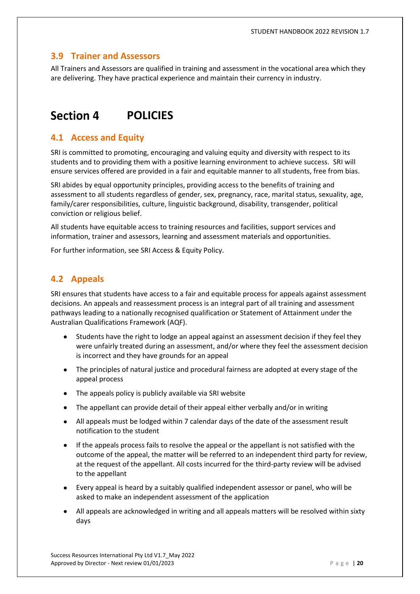# <span id="page-19-0"></span>**3.9 Trainer and Assessors**

All Trainers and Assessors are qualified in training and assessment in the vocational area which they are delivering. They have practical experience and maintain their currency in industry.

#### **Section 4 POLICIES**

# **4.1 Access and Equity**

SRI is committed to promoting, encouraging and valuing equity and diversity with respect to its students and to providing them with a positive learning environment to achieve success. SRI will ensure services offered are provided in a fair and equitable manner to all students, free from bias.

SRI abides by equal opportunity principles, providing access to the benefits of training and assessment to all students regardless of gender, sex, pregnancy, race, marital status, sexuality, age, family/carer responsibilities, culture, linguistic background, disability, transgender, political conviction or religious belief.

All students have equitable access to training resources and facilities, support services and information, trainer and assessors, learning and assessment materials and opportunities.

For further information, see SRI Access & Equity Policy.

# **4.2 Appeals**

SRI ensures that students have access to a fair and equitable process for appeals against assessment decisions. An appeals and reassessment process is an integral part of all training and assessment pathways leading to a nationally recognised qualification or Statement of Attainment under the Australian Qualifications Framework (AQF).

- Students have the right to lodge an appeal against an assessment decision if they feel they were unfairly treated during an assessment, and/or where they feel the assessment decision is incorrect and they have grounds for an appeal
- The principles of natural justice and procedural fairness are adopted at every stage of the appeal process
- The appeals policy is publicly available via SRI website
- The appellant can provide detail of their appeal either verbally and/or in writing
- All appeals must be lodged within 7 calendar days of the date of the assessment result notification to the student
- If the appeals process fails to resolve the appeal or the appellant is not satisfied with the outcome of the appeal, the matter will be referred to an independent third party for review, at the request of the appellant. All costs incurred for the third-party review will be advised to the appellant
- Every appeal is heard by a suitably qualified independent assessor or panel, who will be asked to make an independent assessment of the application
- All appeals are acknowledged in writing and all appeals matters will be resolved within sixty days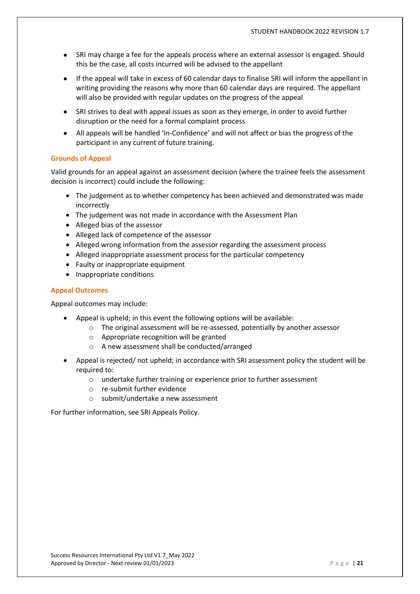- SRI may charge a fee for the appeals process where an external assessor is engaged. Should this be the case, all costs incurred will be advised to the appellant
- If the appeal will take in excess of 60 calendar days to finalise SRI will inform the appellant in writing providing the reasons why more than 60 calendar days are required. The appellant will also be provided with regular updates on the progress of the appeal
- SRI strives to deal with appeal issues as soon as they emerge, in order to avoid further disruption or the need for a formal complaint process
- All appeals will be handled 'In-Confidence' and will not affect or bias the progress of the participant in any current of future training.

#### **Grounds of Appeal**

Valid grounds for an appeal against an assessment decision (where the trainee feels the assessment decision is incorrect) could include the following:

- The judgement as to whether competency has been achieved and demonstrated was made incorrectly
- The judgement was not made in accordance with the Assessment Plan
- Alleged bias of the assessor
- Alleged lack of competence of the assessor
- Alleged wrong information from the assessor regarding the assessment process
- Alleged inappropriate assessment process for the particular competency
- Faulty or inappropriate equipment
- Inappropriate conditions

#### **Appeal Outcomes**

Appeal outcomes may include:

- Appeal is upheld; in this event the following options will be available:
	- o The original assessment will be re-assessed, potentially by another assessor
	- o Appropriate recognition will be granted
	- o A new assessment shall be conducted/arranged
- Appeal is rejected/ not upheld; in accordance with SRI assessment policy the student will be required to:
	- o undertake further training or experience prior to further assessment
	- o re-submit further evidence
	- o submit/undertake a new assessment

For further information, see SRI Appeals Policy.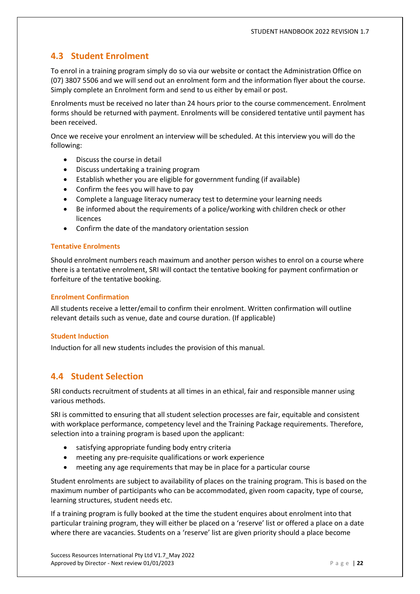# **4.3 Student Enrolment**

To enrol in a training program simply do so via our website or contact the Administration Office on (07) 3807 5506 and we will send out an enrolment form and the information flyer about the course. Simply complete an Enrolment form and send to us either by email or post.

Enrolments must be received no later than 24 hours prior to the course commencement. Enrolment forms should be returned with payment. Enrolments will be considered tentative until payment has been received.

Once we receive your enrolment an interview will be scheduled. At this interview you will do the following:

- Discuss the course in detail
- Discuss undertaking a training program
- Establish whether you are eligible for government funding (if available)
- Confirm the fees you will have to pay
- Complete a language literacy numeracy test to determine your learning needs
- Be informed about the requirements of a police/working with children check or other licences
- Confirm the date of the mandatory orientation session

#### **Tentative Enrolments**

Should enrolment numbers reach maximum and another person wishes to enrol on a course where there is a tentative enrolment, SRI will contact the tentative booking for payment confirmation or forfeiture of the tentative booking.

#### **Enrolment Confirmation**

All students receive a letter/email to confirm their enrolment. Written confirmation will outline relevant details such as venue, date and course duration. (If applicable)

#### **Student Induction**

Induction for all new students includes the provision of this manual.

# **4.4 Student Selection**

SRI conducts recruitment of students at all times in an ethical, fair and responsible manner using various methods.

SRI is committed to ensuring that all student selection processes are fair, equitable and consistent with workplace performance, competency level and the Training Package requirements. Therefore, selection into a training program is based upon the applicant:

- satisfying appropriate funding body entry criteria
- meeting any pre-requisite qualifications or work experience
- meeting any age requirements that may be in place for a particular course

Student enrolments are subject to availability of places on the training program. This is based on the maximum number of participants who can be accommodated, given room capacity, type of course, learning structures, student needs etc.

If a training program is fully booked at the time the student enquires about enrolment into that particular training program, they will either be placed on a 'reserve' list or offered a place on a date where there are vacancies. Students on a 'reserve' list are given priority should a place become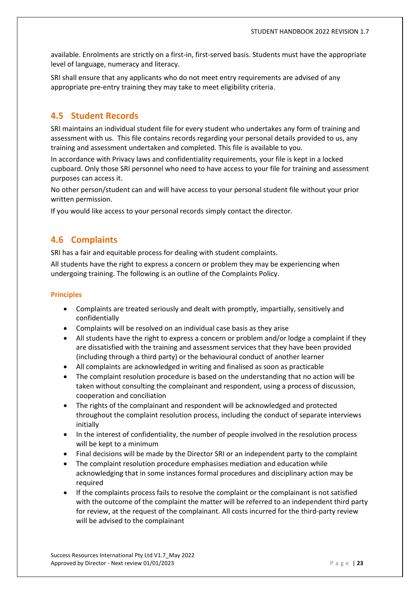available. Enrolments are strictly on a first-in, first-served basis. Students must have the appropriate level of language, numeracy and literacy.

SRI shall ensure that any applicants who do not meet entry requirements are advised of any appropriate pre-entry training they may take to meet eligibility criteria.

# **4.5 Student Records**

SRI maintains an individual student file for every student who undertakes any form of training and assessment with us. This file contains records regarding your personal details provided to us, any training and assessment undertaken and completed. This file is available to you.

In accordance with Privacy laws and confidentiality requirements, your file is kept in a locked cupboard. Only those SRI personnel who need to have access to your file for training and assessment purposes can access it.

No other person/student can and will have access to your personal student file without your prior written permission.

If you would like access to your personal records simply contact the director.

# **4.6 Complaints**

SRI has a fair and equitable process for dealing with student complaints.

All students have the right to express a concern or problem they may be experiencing when undergoing training. The following is an outline of the Complaints Policy.

#### **Principles**

- Complaints are treated seriously and dealt with promptly, impartially, sensitively and confidentially
- Complaints will be resolved on an individual case basis as they arise
- All students have the right to express a concern or problem and/or lodge a complaint if they are dissatisfied with the training and assessment services that they have been provided (including through a third party) or the behavioural conduct of another learner
- All complaints are acknowledged in writing and finalised as soon as practicable
- The complaint resolution procedure is based on the understanding that no action will be taken without consulting the complainant and respondent, using a process of discussion, cooperation and conciliation
- The rights of the complainant and respondent will be acknowledged and protected throughout the complaint resolution process, including the conduct of separate interviews initially
- In the interest of confidentiality, the number of people involved in the resolution process will be kept to a minimum
- Final decisions will be made by the Director SRI or an independent party to the complaint
- The complaint resolution procedure emphasises mediation and education while acknowledging that in some instances formal procedures and disciplinary action may be required
- If the complaints process fails to resolve the complaint or the complainant is not satisfied with the outcome of the complaint the matter will be referred to an independent third party for review, at the request of the complainant. All costs incurred for the third-party review will be advised to the complainant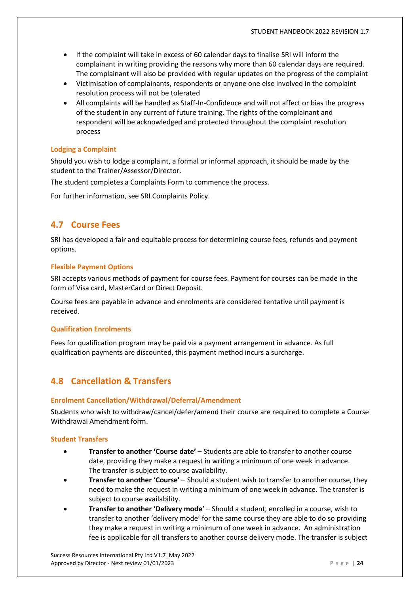- If the complaint will take in excess of 60 calendar days to finalise SRI will inform the complainant in writing providing the reasons why more than 60 calendar days are required. The complainant will also be provided with regular updates on the progress of the complaint
- Victimisation of complainants, respondents or anyone one else involved in the complaint resolution process will not be tolerated
- All complaints will be handled as Staff-In-Confidence and will not affect or bias the progress of the student in any current of future training. The rights of the complainant and respondent will be acknowledged and protected throughout the complaint resolution process

#### **Lodging a Complaint**

Should you wish to lodge a complaint, a formal or informal approach, it should be made by the student to the Trainer/Assessor/Director.

The student completes a Complaints Form to commence the process.

For further information, see SRI Complaints Policy.

# **4.7 Course Fees**

SRI has developed a fair and equitable process for determining course fees, refunds and payment options.

#### **Flexible Payment Options**

SRI accepts various methods of payment for course fees. Payment for courses can be made in the form of Visa card, MasterCard or Direct Deposit.

Course fees are payable in advance and enrolments are considered tentative until payment is received.

#### **Qualification Enrolments**

Fees for qualification program may be paid via a payment arrangement in advance. As full qualification payments are discounted, this payment method incurs a surcharge.

# **4.8 Cancellation & Transfers**

#### **Enrolment Cancellation/Withdrawal/Deferral/Amendment**

Students who wish to withdraw/cancel/defer/amend their course are required to complete a Course Withdrawal Amendment form.

#### **Student Transfers**

- **Transfer to another 'Course date'** Students are able to transfer to another course date, providing they make a request in writing a minimum of one week in advance. The transfer is subject to course availability.
- **Transfer to another 'Course'** Should a student wish to transfer to another course, they need to make the request in writing a minimum of one week in advance. The transfer is subject to course availability.
- **Transfer to another 'Delivery mode'** Should a student, enrolled in a course, wish to transfer to another 'delivery mode' for the same course they are able to do so providing they make a request in writing a minimum of one week in advance. An administration fee is applicable for all transfers to another course delivery mode. The transfer is subject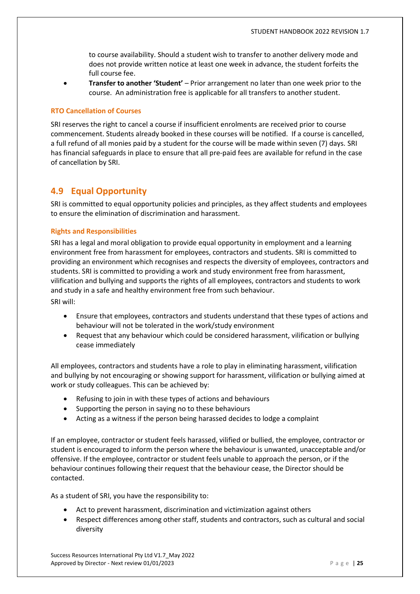to course availability. Should a student wish to transfer to another delivery mode and does not provide written notice at least one week in advance, the student forfeits the full course fee.

• **Transfer to another 'Student'** – Prior arrangement no later than one week prior to the course. An administration free is applicable for all transfers to another student.

#### **RTO Cancellation of Courses**

SRI reserves the right to cancel a course if insufficient enrolments are received prior to course commencement. Students already booked in these courses will be notified. If a course is cancelled, a full refund of all monies paid by a student for the course will be made within seven (7) days. SRI has financial safeguards in place to ensure that all pre-paid fees are available for refund in the case of cancellation by SRI.

# **4.9 Equal Opportunity**

SRI is committed to equal opportunity policies and principles, as they affect students and employees to ensure the elimination of discrimination and harassment.

#### **Rights and Responsibilities**

SRI has a legal and moral obligation to provide equal opportunity in employment and a learning environment free from harassment for employees, contractors and students. SRI is committed to providing an environment which recognises and respects the diversity of employees, contractors and students. SRI is committed to providing a work and study environment free from harassment, vilification and bullying and supports the rights of all employees, contractors and students to work and study in a safe and healthy environment free from such behaviour. SRI will:

• Ensure that employees, contractors and students understand that these types of actions and behaviour will not be tolerated in the work/study environment

• Request that any behaviour which could be considered harassment, vilification or bullying cease immediately

All employees, contractors and students have a role to play in eliminating harassment, vilification and bullying by not encouraging or showing support for harassment, vilification or bullying aimed at work or study colleagues. This can be achieved by:

- Refusing to join in with these types of actions and behaviours
- Supporting the person in saying no to these behaviours
- Acting as a witness if the person being harassed decides to lodge a complaint

If an employee, contractor or student feels harassed, vilified or bullied, the employee, contractor or student is encouraged to inform the person where the behaviour is unwanted, unacceptable and/or offensive. If the employee, contractor or student feels unable to approach the person, or if the behaviour continues following their request that the behaviour cease, the Director should be contacted.

As a student of SRI, you have the responsibility to:

- Act to prevent harassment, discrimination and victimization against others
- Respect differences among other staff, students and contractors, such as cultural and social diversity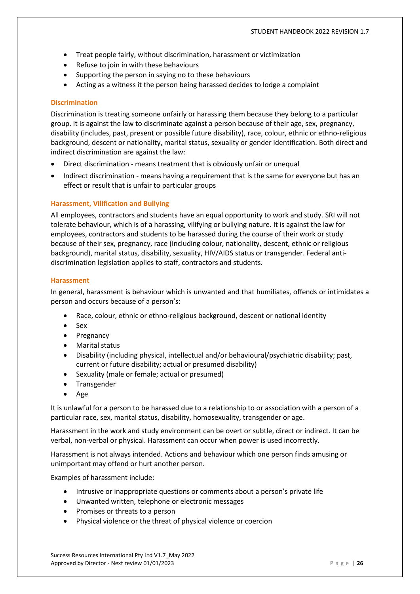- Treat people fairly, without discrimination, harassment or victimization
- Refuse to join in with these behaviours
- Supporting the person in saying no to these behaviours
- Acting as a witness it the person being harassed decides to lodge a complaint

#### **Discrimination**

Discrimination is treating someone unfairly or harassing them because they belong to a particular group. It is against the law to discriminate against a person because of their age, sex, pregnancy, disability (includes, past, present or possible future disability), race, colour, ethnic or ethno-religious background, descent or nationality, marital status, sexuality or gender identification. Both direct and indirect discrimination are against the law:

- Direct discrimination means treatment that is obviously unfair or unequal
- Indirect discrimination means having a requirement that is the same for everyone but has an effect or result that is unfair to particular groups

#### **Harassment, Vilification and Bullying**

All employees, contractors and students have an equal opportunity to work and study. SRI will not tolerate behaviour, which is of a harassing, vilifying or bullying nature. It is against the law for employees, contractors and students to be harassed during the course of their work or study because of their sex, pregnancy, race (including colour, nationality, descent, ethnic or religious background), marital status, disability, sexuality, HIV/AIDS status or transgender. Federal antidiscrimination legislation applies to staff, contractors and students.

#### **Harassment**

In general, harassment is behaviour which is unwanted and that humiliates, offends or intimidates a person and occurs because of a person's:

- Race, colour, ethnic or ethno-religious background, descent or national identity
- Sex
- Pregnancy
- Marital status
- Disability (including physical, intellectual and/or behavioural/psychiatric disability; past, current or future disability; actual or presumed disability)
- Sexuality (male or female; actual or presumed)
- Transgender
- Age

It is unlawful for a person to be harassed due to a relationship to or association with a person of a particular race, sex, marital status, disability, homosexuality, transgender or age.

Harassment in the work and study environment can be overt or subtle, direct or indirect. It can be verbal, non-verbal or physical. Harassment can occur when power is used incorrectly.

Harassment is not always intended. Actions and behaviour which one person finds amusing or unimportant may offend or hurt another person.

Examples of harassment include:

- Intrusive or inappropriate questions or comments about a person's private life
- Unwanted written, telephone or electronic messages
- Promises or threats to a person
- Physical violence or the threat of physical violence or coercion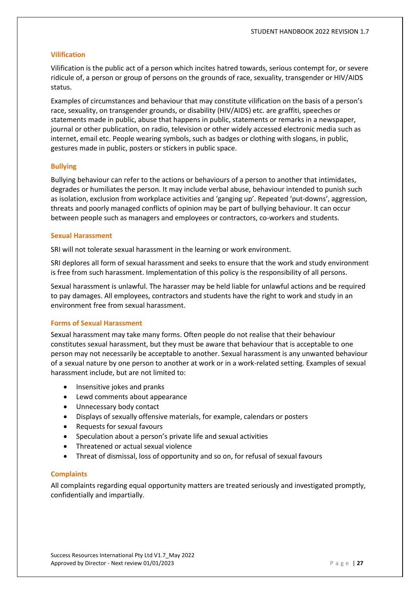#### **Vilification**

Vilification is the public act of a person which incites hatred towards, serious contempt for, or severe ridicule of, a person or group of persons on the grounds of race, sexuality, transgender or HIV/AIDS status.

Examples of circumstances and behaviour that may constitute vilification on the basis of a person's race, sexuality, on transgender grounds, or disability (HIV/AIDS) etc. are graffiti, speeches or statements made in public, abuse that happens in public, statements or remarks in a newspaper, journal or other publication, on radio, television or other widely accessed electronic media such as internet, email etc. People wearing symbols, such as badges or clothing with slogans, in public, gestures made in public, posters or stickers in public space.

#### **Bullying**

Bullying behaviour can refer to the actions or behaviours of a person to another that intimidates, degrades or humiliates the person. It may include verbal abuse, behaviour intended to punish such as isolation, exclusion from workplace activities and 'ganging up'. Repeated 'put-downs', aggression, threats and poorly managed conflicts of opinion may be part of bullying behaviour. It can occur between people such as managers and employees or contractors, co-workers and students.

#### **Sexual Harassment**

SRI will not tolerate sexual harassment in the learning or work environment.

SRI deplores all form of sexual harassment and seeks to ensure that the work and study environment is free from such harassment. Implementation of this policy is the responsibility of all persons.

Sexual harassment is unlawful. The harasser may be held liable for unlawful actions and be required to pay damages. All employees, contractors and students have the right to work and study in an environment free from sexual harassment.

#### **Forms of Sexual Harassment**

Sexual harassment may take many forms. Often people do not realise that their behaviour constitutes sexual harassment, but they must be aware that behaviour that is acceptable to one person may not necessarily be acceptable to another. Sexual harassment is any unwanted behaviour of a sexual nature by one person to another at work or in a work-related setting. Examples of sexual harassment include, but are not limited to:

- Insensitive jokes and pranks
- Lewd comments about appearance
- Unnecessary body contact
- Displays of sexually offensive materials, for example, calendars or posters
- Requests for sexual favours
- Speculation about a person's private life and sexual activities
- Threatened or actual sexual violence
- Threat of dismissal, loss of opportunity and so on, for refusal of sexual favours

#### **Complaints**

All complaints regarding equal opportunity matters are treated seriously and investigated promptly, confidentially and impartially.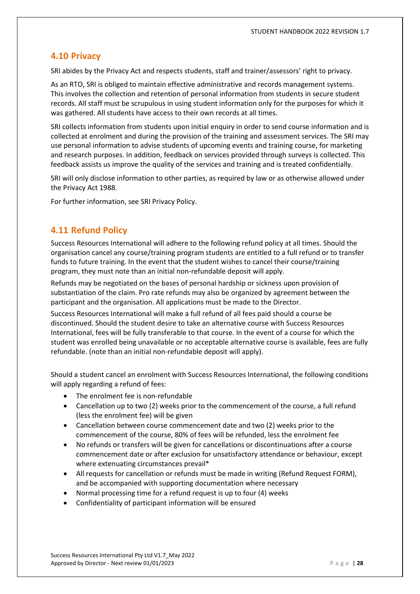# **4.10 Privacy**

SRI abides by the Privacy Act and respects students, staff and trainer/assessors' right to privacy.

As an RTO, SRI is obliged to maintain effective administrative and records management systems. This involves the collection and retention of personal information from students in secure student records. All staff must be scrupulous in using student information only for the purposes for which it was gathered. All students have access to their own records at all times.

SRI collects information from students upon initial enquiry in order to send course information and is collected at enrolment and during the provision of the training and assessment services. The SRI may use personal information to advise students of upcoming events and training course, for marketing and research purposes. In addition, feedback on services provided through surveys is collected. This feedback assists us improve the quality of the services and training and is treated confidentially.

SRI will only disclose information to other parties, as required by law or as otherwise allowed under the Privacy Act 1988.

For further information, see SRI Privacy Policy.

# **4.11 Refund Policy**

Success Resources International will adhere to the following refund policy at all times. Should the organisation cancel any course/training program students are entitled to a full refund or to transfer funds to future training. In the event that the student wishes to cancel their course/training program, they must note than an initial non-refundable deposit will apply.

Refunds may be negotiated on the bases of personal hardship or sickness upon provision of substantiation of the claim. Pro rate refunds may also be organized by agreement between the participant and the organisation. All applications must be made to the Director.

Success Resources International will make a full refund of all fees paid should a course be discontinued. Should the student desire to take an alternative course with Success Resources International, fees will be fully transferable to that course. In the event of a course for which the student was enrolled being unavailable or no acceptable alternative course is available, fees are fully refundable. (note than an initial non-refundable deposit will apply).

Should a student cancel an enrolment with Success Resources International, the following conditions will apply regarding a refund of fees:

- The enrolment fee is non-refundable
- Cancellation up to two (2) weeks prior to the commencement of the course, a full refund (less the enrolment fee) will be given
- Cancellation between course commencement date and two (2) weeks prior to the commencement of the course, 80% of fees will be refunded, less the enrolment fee
- No refunds or transfers will be given for cancellations or discontinuations after a course commencement date or after exclusion for unsatisfactory attendance or behaviour, except where extenuating circumstances prevail\*
- All requests for cancellation or refunds must be made in writing (Refund Request FORM), and be accompanied with supporting documentation where necessary
- Normal processing time for a refund request is up to four (4) weeks
- Confidentiality of participant information will be ensured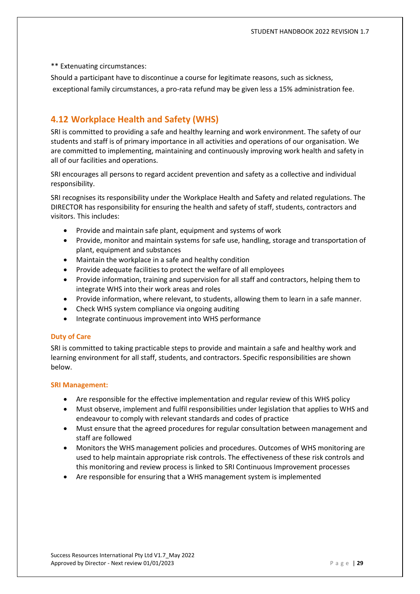\*\* Extenuating circumstances:

Should a participant have to discontinue a course for legitimate reasons, such as sickness, exceptional family circumstances, a pro-rata refund may be given less a 15% administration fee.

# **4.12 Workplace Health and Safety (WHS)**

SRI is committed to providing a safe and healthy learning and work environment. The safety of our students and staff is of primary importance in all activities and operations of our organisation. We are committed to implementing, maintaining and continuously improving work health and safety in all of our facilities and operations.

SRI encourages all persons to regard accident prevention and safety as a collective and individual responsibility.

SRI recognises its responsibility under the Workplace Health and Safety and related regulations. The DIRECTOR has responsibility for ensuring the health and safety of staff, students, contractors and visitors. This includes:

- Provide and maintain safe plant, equipment and systems of work
- Provide, monitor and maintain systems for safe use, handling, storage and transportation of plant, equipment and substances
- Maintain the workplace in a safe and healthy condition
- Provide adequate facilities to protect the welfare of all employees
- Provide information, training and supervision for all staff and contractors, helping them to integrate WHS into their work areas and roles
- Provide information, where relevant, to students, allowing them to learn in a safe manner.
- Check WHS system compliance via ongoing auditing
- Integrate continuous improvement into WHS performance

#### **Duty of Care**

SRI is committed to taking practicable steps to provide and maintain a safe and healthy work and learning environment for all staff, students, and contractors. Specific responsibilities are shown below.

#### **SRI Management:**

- Are responsible for the effective implementation and regular review of this WHS policy
- Must observe, implement and fulfil responsibilities under legislation that applies to WHS and endeavour to comply with relevant standards and codes of practice
- Must ensure that the agreed procedures for regular consultation between management and staff are followed
- Monitors the WHS management policies and procedures. Outcomes of WHS monitoring are used to help maintain appropriate risk controls. The effectiveness of these risk controls and this monitoring and review process is linked to SRI Continuous Improvement processes
- Are responsible for ensuring that a WHS management system is implemented